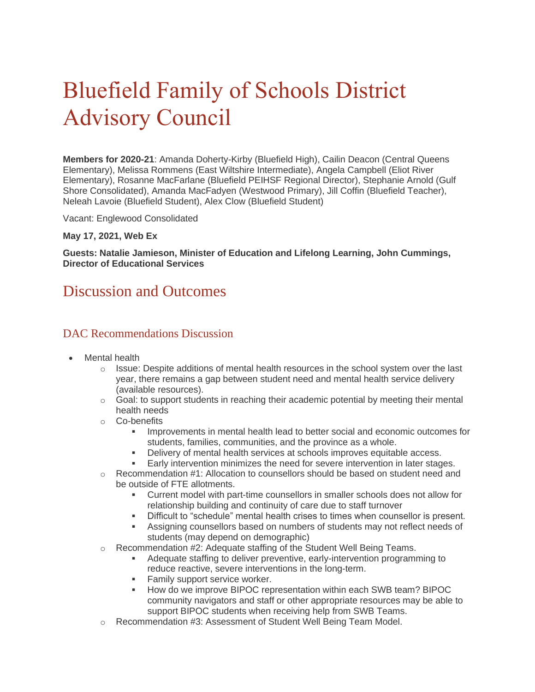# Bluefield Family of Schools District Advisory Council

**Members for 2020-21**: Amanda Doherty-Kirby (Bluefield High), Cailin Deacon (Central Queens Elementary), Melissa Rommens (East Wiltshire Intermediate), Angela Campbell (Eliot River Elementary), Rosanne MacFarlane (Bluefield PEIHSF Regional Director), Stephanie Arnold (Gulf Shore Consolidated), Amanda MacFadyen (Westwood Primary), Jill Coffin (Bluefield Teacher), Neleah Lavoie (Bluefield Student), Alex Clow (Bluefield Student)

Vacant: Englewood Consolidated

#### **May 17, 2021, Web Ex**

**Guests: Natalie Jamieson, Minister of Education and Lifelong Learning, John Cummings, Director of Educational Services**

# Discussion and Outcomes

### DAC Recommendations Discussion

- Mental health
	- $\circ$  Issue: Despite additions of mental health resources in the school system over the last year, there remains a gap between student need and mental health service delivery (available resources).
	- $\circ$  Goal: to support students in reaching their academic potential by meeting their mental health needs
	- o Co-benefits
		- Improvements in mental health lead to better social and economic outcomes for students, families, communities, and the province as a whole.
		- Delivery of mental health services at schools improves equitable access.
		- Early intervention minimizes the need for severe intervention in later stages.
	- o Recommendation #1: Allocation to counsellors should be based on student need and be outside of FTE allotments.
		- Current model with part-time counsellors in smaller schools does not allow for relationship building and continuity of care due to staff turnover
		- Difficult to "schedule" mental health crises to times when counsellor is present.
		- **EXECT** Assigning counsellors based on numbers of students may not reflect needs of students (may depend on demographic)
	- o Recommendation #2: Adequate staffing of the Student Well Being Teams.
		- Adequate staffing to deliver preventive, early-intervention programming to reduce reactive, severe interventions in the long-term.
		- **EXECUTE:** Family support service worker.
		- How do we improve BIPOC representation within each SWB team? BIPOC community navigators and staff or other appropriate resources may be able to support BIPOC students when receiving help from SWB Teams.
	- o Recommendation #3: Assessment of Student Well Being Team Model.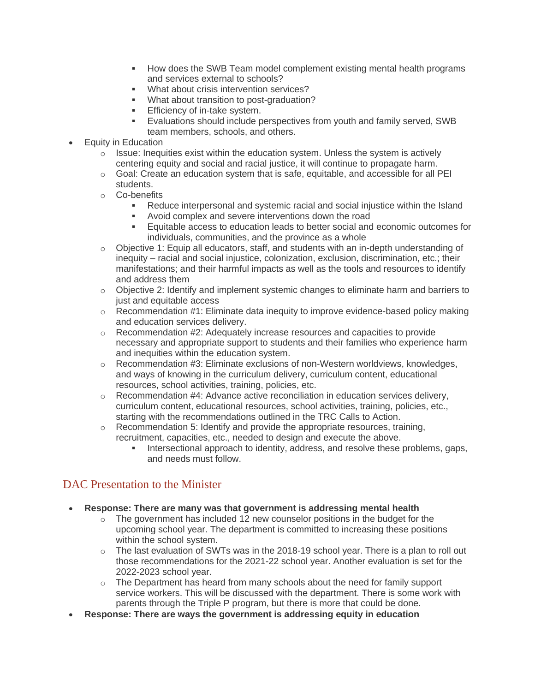- How does the SWB Team model complement existing mental health programs and services external to schools?
- What about crisis intervention services?
- What about transition to post-graduation?
- **Efficiency of in-take system.**
- Evaluations should include perspectives from youth and family served, SWB team members, schools, and others.
- Equity in Education
	- $\circ$  Issue: Inequities exist within the education system. Unless the system is actively centering equity and social and racial justice, it will continue to propagate harm.
	- o Goal: Create an education system that is safe, equitable, and accessible for all PEI students.
	- o Co-benefits
		- Reduce interpersonal and systemic racial and social injustice within the Island
		- Avoid complex and severe interventions down the road
		- Equitable access to education leads to better social and economic outcomes for individuals, communities, and the province as a whole
	- $\circ$  Objective 1: Equip all educators, staff, and students with an in-depth understanding of inequity – racial and social injustice, colonization, exclusion, discrimination, etc.; their manifestations; and their harmful impacts as well as the tools and resources to identify and address them
	- $\circ$  Objective 2: Identify and implement systemic changes to eliminate harm and barriers to just and equitable access
	- $\circ$  Recommendation #1: Eliminate data inequity to improve evidence-based policy making and education services delivery.
	- $\circ$  Recommendation #2: Adequately increase resources and capacities to provide necessary and appropriate support to students and their families who experience harm and inequities within the education system.
	- $\circ$  Recommendation #3: Eliminate exclusions of non-Western worldviews, knowledges, and ways of knowing in the curriculum delivery, curriculum content, educational resources, school activities, training, policies, etc.
	- $\circ$  Recommendation #4: Advance active reconciliation in education services delivery, curriculum content, educational resources, school activities, training, policies, etc., starting with the recommendations outlined in the TRC Calls to Action.
	- o Recommendation 5: Identify and provide the appropriate resources, training, recruitment, capacities, etc., needed to design and execute the above.
		- Intersectional approach to identity, address, and resolve these problems, gaps, and needs must follow.

# DAC Presentation to the Minister

- **Response: There are many was that government is addressing mental health**
	- $\circ$  The government has included 12 new counselor positions in the budget for the upcoming school year. The department is committed to increasing these positions within the school system.
	- $\circ$  The last evaluation of SWTs was in the 2018-19 school year. There is a plan to roll out those recommendations for the 2021-22 school year. Another evaluation is set for the 2022-2023 school year.
	- o The Department has heard from many schools about the need for family support service workers. This will be discussed with the department. There is some work with parents through the Triple P program, but there is more that could be done.
- **Response: There are ways the government is addressing equity in education**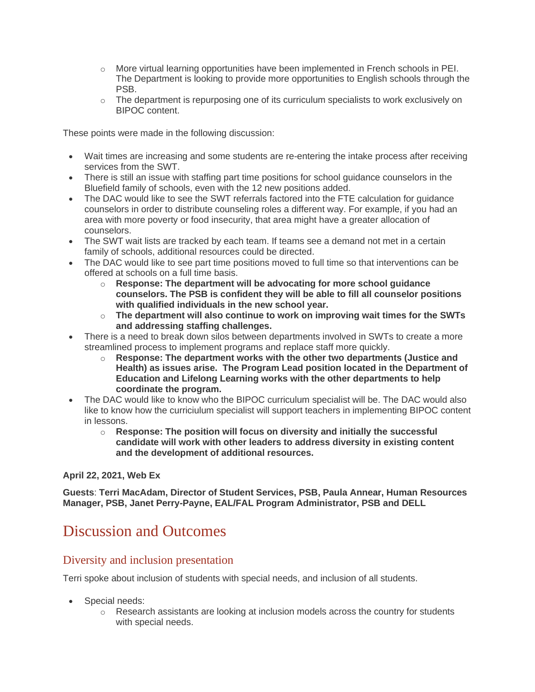- o More virtual learning opportunities have been implemented in French schools in PEI. The Department is looking to provide more opportunities to English schools through the PSB.
- $\circ$  The department is repurposing one of its curriculum specialists to work exclusively on BIPOC content.

- Wait times are increasing and some students are re-entering the intake process after receiving services from the SWT.
- There is still an issue with staffing part time positions for school guidance counselors in the Bluefield family of schools, even with the 12 new positions added.
- The DAC would like to see the SWT referrals factored into the FTE calculation for quidance counselors in order to distribute counseling roles a different way. For example, if you had an area with more poverty or food insecurity, that area might have a greater allocation of counselors.
- The SWT wait lists are tracked by each team. If teams see a demand not met in a certain family of schools, additional resources could be directed.
- The DAC would like to see part time positions moved to full time so that interventions can be offered at schools on a full time basis.
	- o **Response: The department will be advocating for more school guidance counselors. The PSB is confident they will be able to fill all counselor positions with qualified individuals in the new school year.**
	- o **The department will also continue to work on improving wait times for the SWTs and addressing staffing challenges.**
- There is a need to break down silos between departments involved in SWTs to create a more streamlined process to implement programs and replace staff more quickly.
	- o **Response: The department works with the other two departments (Justice and Health) as issues arise. The Program Lead position located in the Department of Education and Lifelong Learning works with the other departments to help coordinate the program.**
- The DAC would like to know who the BIPOC curriculum specialist will be. The DAC would also like to know how the curriciulum specialist will support teachers in implementing BIPOC content in lessons.
	- o **Response: The position will focus on diversity and initially the successful candidate will work with other leaders to address diversity in existing content and the development of additional resources.**

#### **April 22, 2021, Web Ex**

**Guests**: **Terri MacAdam, Director of Student Services, PSB, Paula Annear, Human Resources Manager, PSB, Janet Perry-Payne, EAL/FAL Program Administrator, PSB and DELL**

# Discussion and Outcomes

### Diversity and inclusion presentation

Terri spoke about inclusion of students with special needs, and inclusion of all students.

- Special needs:
	- $\circ$  Research assistants are looking at inclusion models across the country for students with special needs.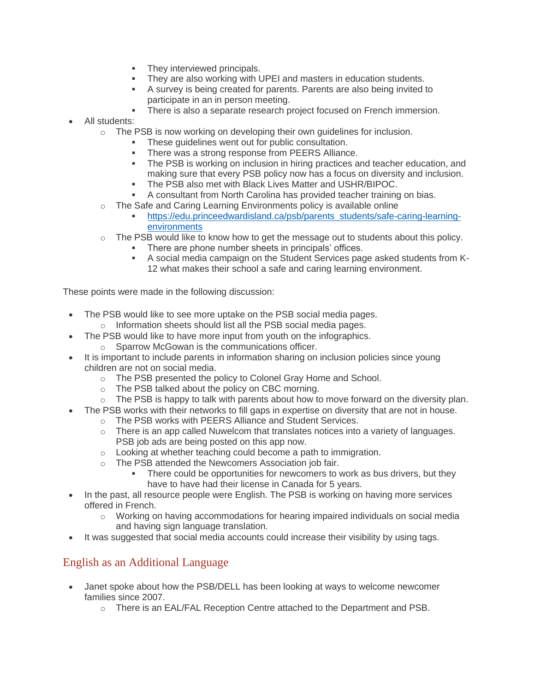- **•** They interviewed principals.
- They are also working with UPEI and masters in education students.
- A survey is being created for parents. Parents are also being invited to participate in an in person meeting.
- **EXECT** There is also a separate research project focused on French immersion.
- All students:
	- $\circ$  The PSB is now working on developing their own guidelines for inclusion.
		- These guidelines went out for public consultation.
		- **There was a strong response from PEERS Alliance.**
		- The PSB is working on inclusion in hiring practices and teacher education, and making sure that every PSB policy now has a focus on diversity and inclusion.
		- The PSB also met with Black Lives Matter and USHR/BIPOC.
		- A consultant from North Carolina has provided teacher training on bias.
	- o The Safe and Caring Learning Environments policy is available online
		- [https://edu.princeedwardisland.ca/psb/parents\\_students/safe-caring-learning](https://edu.princeedwardisland.ca/psb/parents_students/safe-caring-learning-environments/?highlight=learning%20environment)[environments](https://edu.princeedwardisland.ca/psb/parents_students/safe-caring-learning-environments/?highlight=learning%20environment)
	- o The PSB would like to know how to get the message out to students about this policy.
		- There are phone number sheets in principals' offices.
		- A social media campaign on the Student Services page asked students from K-12 what makes their school a safe and caring learning environment.

- The PSB would like to see more uptake on the PSB social media pages.
	- o Information sheets should list all the PSB social media pages.
- The PSB would like to have more input from youth on the infographics.
	- o Sparrow McGowan is the communications officer.
- It is important to include parents in information sharing on inclusion policies since young children are not on social media.
	- o The PSB presented the policy to Colonel Gray Home and School.
	- o The PSB talked about the policy on CBC morning.
	- $\circ$  The PSB is happy to talk with parents about how to move forward on the diversity plan.
- The PSB works with their networks to fill gaps in expertise on diversity that are not in house.
	- o The PSB works with PEERS Alliance and Student Services.
	- $\circ$  There is an app called Nuwelcom that translates notices into a variety of languages. PSB job ads are being posted on this app now.
	- o Looking at whether teaching could become a path to immigration.
	- o The PSB attended the Newcomers Association job fair.
		- There could be opportunities for newcomers to work as bus drivers, but they have to have had their license in Canada for 5 years.
- In the past, all resource people were English. The PSB is working on having more services offered in French.
	- $\circ$  Working on having accommodations for hearing impaired individuals on social media and having sign language translation.
- It was suggested that social media accounts could increase their visibility by using tags.

# English as an Additional Language

- Janet spoke about how the PSB/DELL has been looking at ways to welcome newcomer families since 2007.
	- o There is an EAL/FAL Reception Centre attached to the Department and PSB.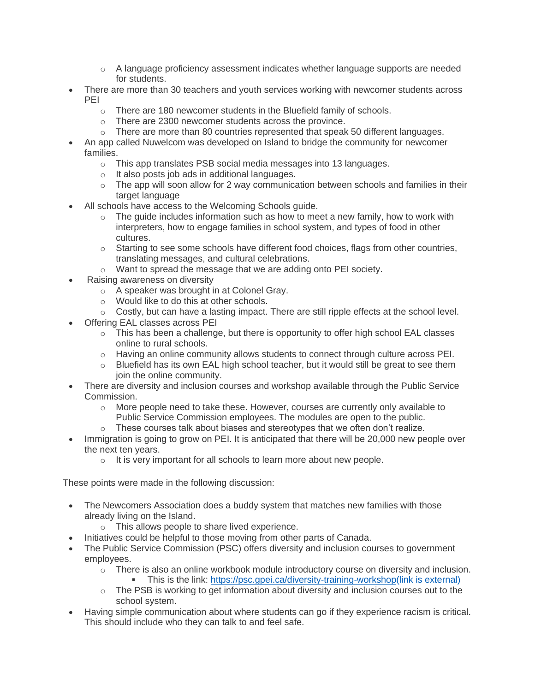- $\circ$  A language proficiency assessment indicates whether language supports are needed for students.
- There are more than 30 teachers and youth services working with newcomer students across PEI
	- o There are 180 newcomer students in the Bluefield family of schools.
	- o There are 2300 newcomer students across the province.
	- $\circ$  There are more than 80 countries represented that speak 50 different languages.
- An app called Nuwelcom was developed on Island to bridge the community for newcomer families.
	- o This app translates PSB social media messages into 13 languages.
	- o It also posts job ads in additional languages.
	- $\circ$  The app will soon allow for 2 way communication between schools and families in their target language
- All schools have access to the Welcoming Schools guide.
	- $\circ$  The quide includes information such as how to meet a new family, how to work with interpreters, how to engage families in school system, and types of food in other cultures.
	- $\circ$  Starting to see some schools have different food choices, flags from other countries, translating messages, and cultural celebrations.
	- o Want to spread the message that we are adding onto PEI society.
- Raising awareness on diversity
	- o A speaker was brought in at Colonel Gray.
	- o Would like to do this at other schools.
	- $\circ$  Costly, but can have a lasting impact. There are still ripple effects at the school level.
- Offering EAL classes across PEI
	- $\circ$  This has been a challenge, but there is opportunity to offer high school EAL classes online to rural schools.
	- o Having an online community allows students to connect through culture across PEI.
	- $\circ$  Bluefield has its own EAL high school teacher, but it would still be great to see them join the online community.
- There are diversity and inclusion courses and workshop available through the Public Service Commission.
	- $\circ$  More people need to take these. However, courses are currently only available to Public Service Commission employees. The modules are open to the public.
	- o These courses talk about biases and stereotypes that we often don't realize.
- Immigration is going to grow on PEI. It is anticipated that there will be 20,000 new people over the next ten years.
	- o It is very important for all schools to learn more about new people.

- The Newcomers Association does a buddy system that matches new families with those already living on the Island.
	- o This allows people to share lived experience.
- Initiatives could be helpful to those moving from other parts of Canada.
- The Public Service Commission (PSC) offers diversity and inclusion courses to government employees.
	- $\circ$  There is also an online workbook module introductory course on diversity and inclusion.
		- This is the link: [https://psc.gpei.ca/diversity-training-workshop\(link is external\)](https://psc.gpei.ca/diversity-training-workshop)
	- o The PSB is working to get information about diversity and inclusion courses out to the school system.
- Having simple communication about where students can go if they experience racism is critical. This should include who they can talk to and feel safe.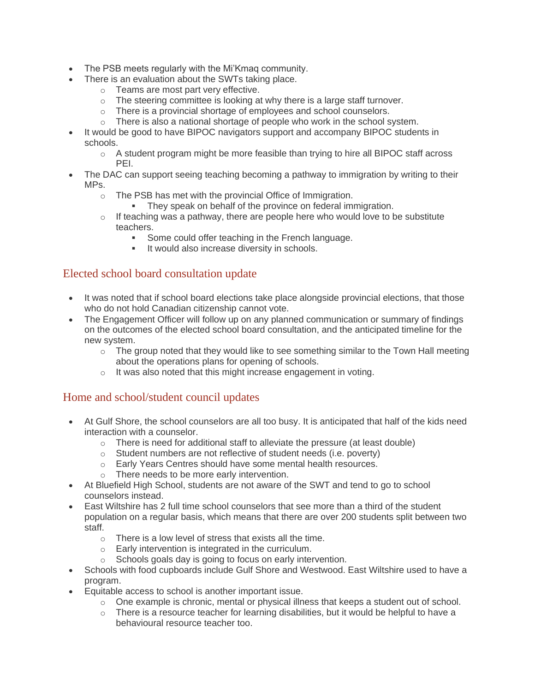- The PSB meets regularly with the Mi'Kmaq community.
- There is an evaluation about the SWTs taking place.
	- o Teams are most part very effective.
	- o The steering committee is looking at why there is a large staff turnover.
	- o There is a provincial shortage of employees and school counselors.
	- o There is also a national shortage of people who work in the school system.
- It would be good to have BIPOC navigators support and accompany BIPOC students in schools.
	- o A student program might be more feasible than trying to hire all BIPOC staff across PEI.
- The DAC can support seeing teaching becoming a pathway to immigration by writing to their MPs.
	- o The PSB has met with the provincial Office of Immigration.
		- **They speak on behalf of the province on federal immigration.**
	- $\circ$  If teaching was a pathway, there are people here who would love to be substitute teachers.
		- Some could offer teaching in the French language.
		- It would also increase diversity in schools.

# Elected school board consultation update

- It was noted that if school board elections take place alongside provincial elections, that those who do not hold Canadian citizenship cannot vote.
- The Engagement Officer will follow up on any planned communication or summary of findings on the outcomes of the elected school board consultation, and the anticipated timeline for the new system.
	- $\circ$  The group noted that they would like to see something similar to the Town Hall meeting about the operations plans for opening of schools.
	- o It was also noted that this might increase engagement in voting.

# Home and school/student council updates

- At Gulf Shore, the school counselors are all too busy. It is anticipated that half of the kids need interaction with a counselor.
	- $\circ$  There is need for additional staff to alleviate the pressure (at least double)
	- o Student numbers are not reflective of student needs (i.e. poverty)
	- o Early Years Centres should have some mental health resources.
	- o There needs to be more early intervention.
- At Bluefield High School, students are not aware of the SWT and tend to go to school counselors instead.
- East Wiltshire has 2 full time school counselors that see more than a third of the student population on a regular basis, which means that there are over 200 students split between two staff.
	- o There is a low level of stress that exists all the time.
	- o Early intervention is integrated in the curriculum.
	- o Schools goals day is going to focus on early intervention.
- Schools with food cupboards include Gulf Shore and Westwood. East Wiltshire used to have a program.
- Equitable access to school is another important issue.
	- $\circ$  One example is chronic, mental or physical illness that keeps a student out of school.
	- $\circ$  There is a resource teacher for learning disabilities, but it would be helpful to have a behavioural resource teacher too.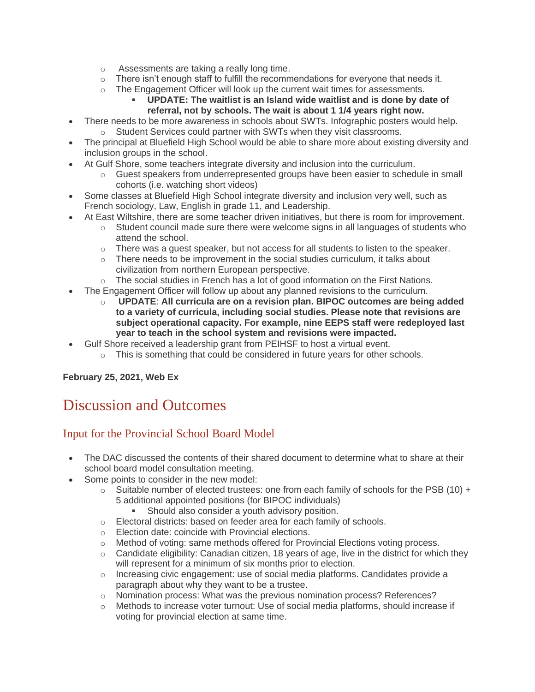- o Assessments are taking a really long time.
- $\circ$  There isn't enough staff to fulfill the recommendations for everyone that needs it.
- $\circ$  The Engagement Officer will look up the current wait times for assessments.
	- **UPDATE: The waitlist is an Island wide waitlist and is done by date of referral, not by schools. The wait is about 1 1/4 years right now.**
- There needs to be more awareness in schools about SWTs. Infographic posters would help. o Student Services could partner with SWTs when they visit classrooms.
- The principal at Bluefield High School would be able to share more about existing diversity and inclusion groups in the school.
- At Gulf Shore, some teachers integrate diversity and inclusion into the curriculum.
	- $\circ$  Guest speakers from underrepresented groups have been easier to schedule in small cohorts (i.e. watching short videos)
- Some classes at Bluefield High School integrate diversity and inclusion very well, such as French sociology, Law, English in grade 11, and Leadership.
- At East Wiltshire, there are some teacher driven initiatives, but there is room for improvement.
	- $\circ$  Student council made sure there were welcome signs in all languages of students who attend the school.
	- $\circ$  There was a quest speaker, but not access for all students to listen to the speaker.
	- $\circ$  There needs to be improvement in the social studies curriculum, it talks about civilization from northern European perspective.
	- $\circ$  The social studies in French has a lot of good information on the First Nations.
- The Engagement Officer will follow up about any planned revisions to the curriculum.
	- o **UPDATE**: **All curricula are on a revision plan. BIPOC outcomes are being added to a variety of curricula, including social studies. Please note that revisions are subject operational capacity. For example, nine EEPS staff were redeployed last year to teach in the school system and revisions were impacted.**
	- Gulf Shore received a leadership grant from PEIHSF to host a virtual event.
		- $\circ$  This is something that could be considered in future years for other schools.

#### **February 25, 2021, Web Ex**

# Discussion and Outcomes

# Input for the Provincial School Board Model

- The DAC discussed the contents of their shared document to determine what to share at their school board model consultation meeting.
- Some points to consider in the new model:
	- $\circ$  Suitable number of elected trustees: one from each family of schools for the PSB (10) + 5 additional appointed positions (for BIPOC individuals)
		- **EXECT:** Should also consider a youth advisory position.
	- $\circ$  Electoral districts: based on feeder area for each family of schools.
	- o Election date: coincide with Provincial elections.
	- o Method of voting: same methods offered for Provincial Elections voting process.
	- $\circ$  Candidate eligibility: Canadian citizen, 18 years of age, live in the district for which they will represent for a minimum of six months prior to election.
	- $\circ$  Increasing civic engagement: use of social media platforms. Candidates provide a paragraph about why they want to be a trustee.
	- o Nomination process: What was the previous nomination process? References?
	- Methods to increase voter turnout: Use of social media platforms, should increase if voting for provincial election at same time.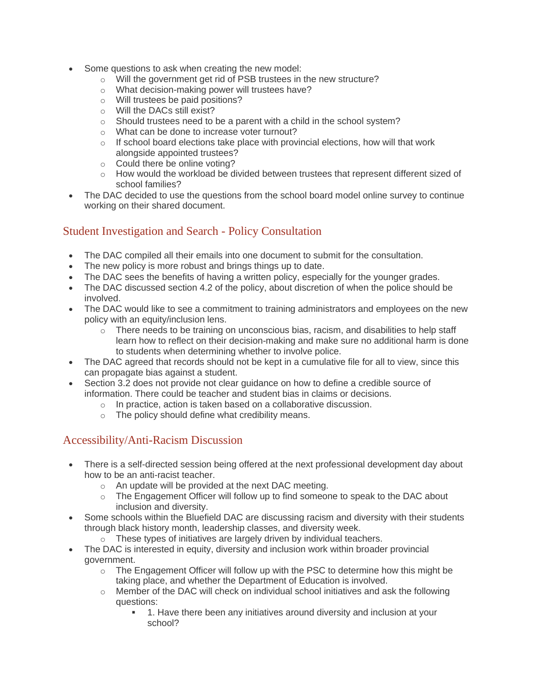- Some questions to ask when creating the new model:
	- o Will the government get rid of PSB trustees in the new structure?
	- o What decision-making power will trustees have?
	- o Will trustees be paid positions?
	- o Will the DACs still exist?
	- $\circ$  Should trustees need to be a parent with a child in the school system?
	- o What can be done to increase voter turnout?
	- $\circ$  If school board elections take place with provincial elections, how will that work alongside appointed trustees?
	- o Could there be online voting?
	- o How would the workload be divided between trustees that represent different sized of school families?
- The DAC decided to use the questions from the school board model online survey to continue working on their shared document.

# Student Investigation and Search - Policy Consultation

- The DAC compiled all their emails into one document to submit for the consultation.
- The new policy is more robust and brings things up to date.
- The DAC sees the benefits of having a written policy, especially for the younger grades.
- The DAC discussed section 4.2 of the policy, about discretion of when the police should be involved.
- The DAC would like to see a commitment to training administrators and employees on the new policy with an equity/inclusion lens.
	- $\circ$  There needs to be training on unconscious bias, racism, and disabilities to help staff learn how to reflect on their decision-making and make sure no additional harm is done to students when determining whether to involve police.
- The DAC agreed that records should not be kept in a cumulative file for all to view, since this can propagate bias against a student.
- Section 3.2 does not provide not clear guidance on how to define a credible source of information. There could be teacher and student bias in claims or decisions.
	- o In practice, action is taken based on a collaborative discussion.
	- o The policy should define what credibility means.

# Accessibility/Anti-Racism Discussion

- There is a self-directed session being offered at the next professional development day about how to be an anti-racist teacher.
	- o An update will be provided at the next DAC meeting.
	- $\circ$  The Engagement Officer will follow up to find someone to speak to the DAC about inclusion and diversity.
- Some schools within the Bluefield DAC are discussing racism and diversity with their students through black history month, leadership classes, and diversity week.
	- o These types of initiatives are largely driven by individual teachers.
- The DAC is interested in equity, diversity and inclusion work within broader provincial government.
	- $\circ$  The Engagement Officer will follow up with the PSC to determine how this might be taking place, and whether the Department of Education is involved.
	- $\circ$  Member of the DAC will check on individual school initiatives and ask the following questions:
		- 1. Have there been any initiatives around diversity and inclusion at your school?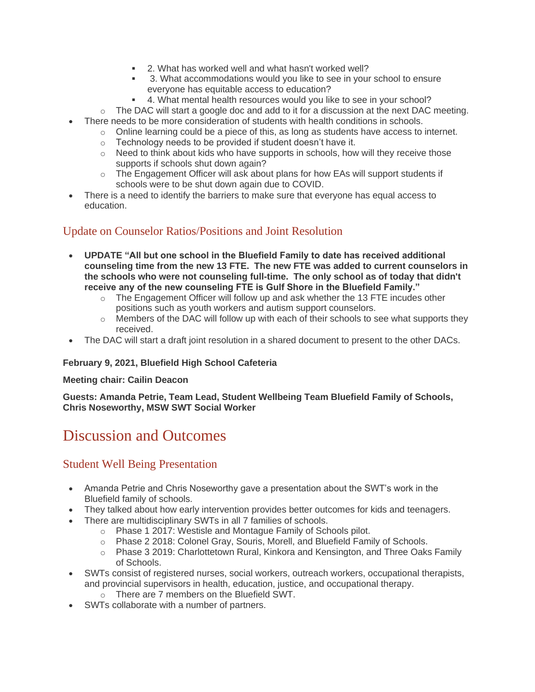- 2. What has worked well and what hasn't worked well?
- 3. What accommodations would you like to see in your school to ensure everyone has equitable access to education?
- 4. What mental health resources would you like to see in your school?
- $\circ$  The DAC will start a google doc and add to it for a discussion at the next DAC meeting.
- There needs to be more consideration of students with health conditions in schools.
	- $\circ$  Online learning could be a piece of this, as long as students have access to internet.
	- o Technology needs to be provided if student doesn't have it.
	- $\circ$  Need to think about kids who have supports in schools, how will they receive those supports if schools shut down again?
	- $\circ$  The Engagement Officer will ask about plans for how EAs will support students if schools were to be shut down again due to COVID.
- There is a need to identify the barriers to make sure that everyone has equal access to education.

# Update on Counselor Ratios/Positions and Joint Resolution

- **UPDATE "All but one school in the Bluefield Family to date has received additional counseling time from the new 13 FTE. The new FTE was added to current counselors in the schools who were not counseling full-time. The only school as of today that didn't receive any of the new counseling FTE is Gulf Shore in the Bluefield Family."**
	- $\circ$  The Engagement Officer will follow up and ask whether the 13 FTE incudes other positions such as youth workers and autism support counselors.
	- $\circ$  Members of the DAC will follow up with each of their schools to see what supports they received.
- The DAC will start a draft joint resolution in a shared document to present to the other DACs.

#### **February 9, 2021, Bluefield High School Cafeteria**

#### **Meeting chair: Cailin Deacon**

**Guests: Amanda Petrie, Team Lead, Student Wellbeing Team Bluefield Family of Schools, Chris Noseworthy, MSW SWT Social Worker**

# Discussion and Outcomes

# Student Well Being Presentation

- Amanda Petrie and Chris Noseworthy gave a presentation about the SWT's work in the Bluefield family of schools.
- They talked about how early intervention provides better outcomes for kids and teenagers.
- There are multidisciplinary SWTs in all 7 families of schools.
	- o Phase 1 2017: Westisle and Montague Family of Schools pilot.
		- o Phase 2 2018: Colonel Gray, Souris, Morell, and Bluefield Family of Schools.
	- o Phase 3 2019: Charlottetown Rural, Kinkora and Kensington, and Three Oaks Family of Schools.
- SWTs consist of registered nurses, social workers, outreach workers, occupational therapists, and provincial supervisors in health, education, justice, and occupational therapy.
	- o There are 7 members on the Bluefield SWT.
- SWTs collaborate with a number of partners.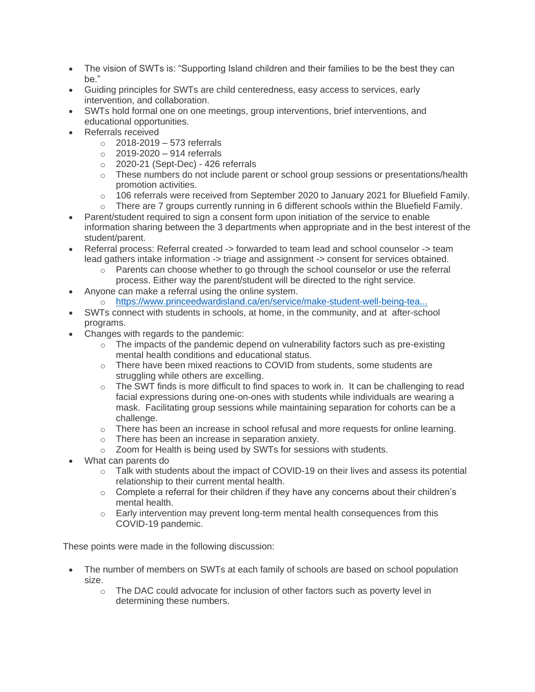- The vision of SWTs is: "Supporting Island children and their families to be the best they can be."
- Guiding principles for SWTs are child centeredness, easy access to services, early intervention, and collaboration.
- SWTs hold formal one on one meetings, group interventions, brief interventions, and educational opportunities.
- Referrals received
	- $\circ$  2018-2019 573 referrals
	- $\circ$  2019-2020 914 referrals
	- $\circ$  2020-21 (Sept-Dec) 426 referrals
	- $\circ$  These numbers do not include parent or school group sessions or presentations/health promotion activities.
	- $\circ$  106 referrals were received from September 2020 to January 2021 for Bluefield Family.
	- $\circ$  There are 7 groups currently running in 6 different schools within the Bluefield Family.
- Parent/student required to sign a consent form upon initiation of the service to enable information sharing between the 3 departments when appropriate and in the best interest of the student/parent.
- Referral process: Referral created -> forwarded to team lead and school counselor -> team lead gathers intake information -> triage and assignment -> consent for services obtained.
	- $\circ$  Parents can choose whether to go through the school counselor or use the referral
- process. Either way the parent/student will be directed to the right service. • Anyone can make a referral using the online system.
	- o [https://www.princeedwardisland.ca/en/service/make-student-well-being-tea...](https://www.princeedwardisland.ca/en/service/make-student-well-being-team-referral)
- SWTs connect with students in schools, at home, in the community, and at after-school programs.
- Changes with regards to the pandemic:
	- $\circ$  The impacts of the pandemic depend on vulnerability factors such as pre-existing mental health conditions and educational status.
	- o There have been mixed reactions to COVID from students, some students are struggling while others are excelling.
	- $\circ$  The SWT finds is more difficult to find spaces to work in. It can be challenging to read facial expressions during one-on-ones with students while individuals are wearing a mask. Facilitating group sessions while maintaining separation for cohorts can be a challenge.
	- o There has been an increase in school refusal and more requests for online learning.
	- o There has been an increase in separation anxiety.
	- o Zoom for Health is being used by SWTs for sessions with students.
- What can parents do
	- $\circ$  Talk with students about the impact of COVID-19 on their lives and assess its potential relationship to their current mental health.
	- $\circ$  Complete a referral for their children if they have any concerns about their children's mental health.
	- $\circ$  Early intervention may prevent long-term mental health consequences from this COVID-19 pandemic.

- The number of members on SWTs at each family of schools are based on school population size.
	- o The DAC could advocate for inclusion of other factors such as poverty level in determining these numbers.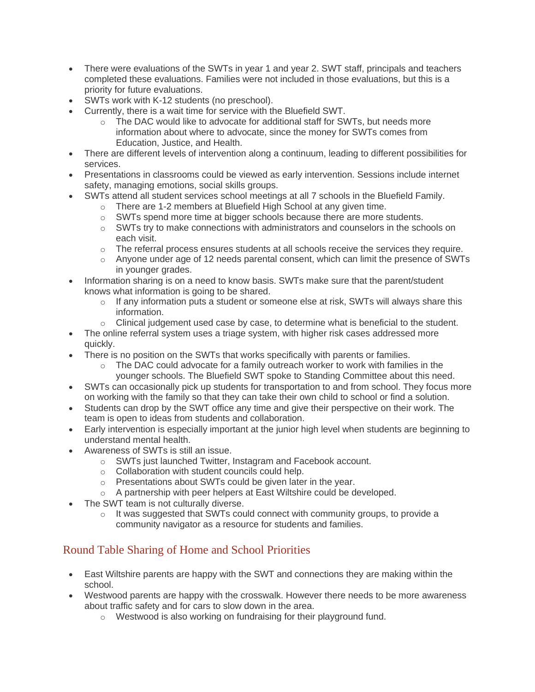- There were evaluations of the SWTs in year 1 and year 2. SWT staff, principals and teachers completed these evaluations. Families were not included in those evaluations, but this is a priority for future evaluations.
- SWTs work with K-12 students (no preschool).
- Currently, there is a wait time for service with the Bluefield SWT.
	- o The DAC would like to advocate for additional staff for SWTs, but needs more information about where to advocate, since the money for SWTs comes from Education, Justice, and Health.
- There are different levels of intervention along a continuum, leading to different possibilities for services.
- Presentations in classrooms could be viewed as early intervention. Sessions include internet safety, managing emotions, social skills groups.
- SWTs attend all student services school meetings at all 7 schools in the Bluefield Family.
	- o There are 1-2 members at Bluefield High School at any given time.
	- o SWTs spend more time at bigger schools because there are more students.
	- $\circ$  SWTs try to make connections with administrators and counselors in the schools on each visit.
	- $\circ$  The referral process ensures students at all schools receive the services they require.
	- $\circ$  Anyone under age of 12 needs parental consent, which can limit the presence of SWTs in younger grades.
- Information sharing is on a need to know basis. SWTs make sure that the parent/student knows what information is going to be shared.
	- $\circ$  If any information puts a student or someone else at risk, SWTs will always share this information.
	- $\circ$  Clinical judgement used case by case, to determine what is beneficial to the student.
- The online referral system uses a triage system, with higher risk cases addressed more quickly.
- There is no position on the SWTs that works specifically with parents or families.
	- o The DAC could advocate for a family outreach worker to work with families in the younger schools. The Bluefield SWT spoke to Standing Committee about this need.
- SWTs can occasionally pick up students for transportation to and from school. They focus more on working with the family so that they can take their own child to school or find a solution.
- Students can drop by the SWT office any time and give their perspective on their work. The team is open to ideas from students and collaboration.
- Early intervention is especially important at the junior high level when students are beginning to understand mental health.
- Awareness of SWTs is still an issue.
	- o SWTs just launched Twitter, Instagram and Facebook account.
	- o Collaboration with student councils could help.
	- o Presentations about SWTs could be given later in the year.
	- o A partnership with peer helpers at East Wiltshire could be developed.
- The SWT team is not culturally diverse.
	- $\circ$  It was suggested that SWTs could connect with community groups, to provide a community navigator as a resource for students and families.

# Round Table Sharing of Home and School Priorities

- East Wiltshire parents are happy with the SWT and connections they are making within the school.
- Westwood parents are happy with the crosswalk. However there needs to be more awareness about traffic safety and for cars to slow down in the area.
	- o Westwood is also working on fundraising for their playground fund.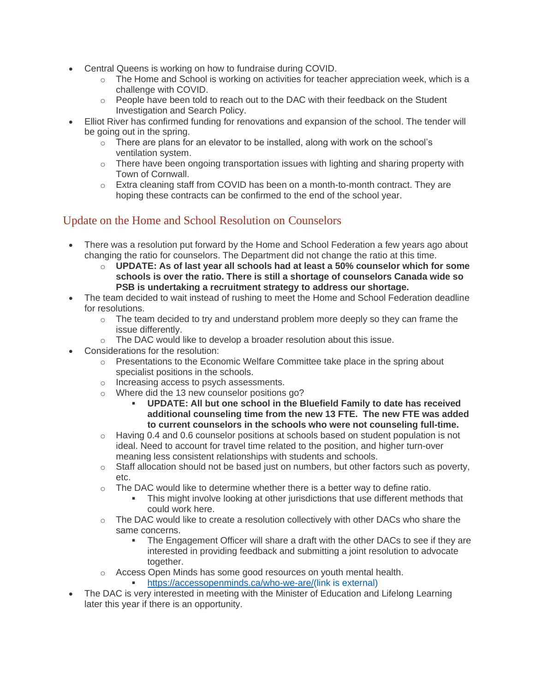- Central Queens is working on how to fundraise during COVID.
	- $\circ$  The Home and School is working on activities for teacher appreciation week, which is a challenge with COVID.
	- $\circ$  People have been told to reach out to the DAC with their feedback on the Student Investigation and Search Policy.
- Elliot River has confirmed funding for renovations and expansion of the school. The tender will be going out in the spring.
	- $\circ$  There are plans for an elevator to be installed, along with work on the school's ventilation system.
	- $\circ$  There have been ongoing transportation issues with lighting and sharing property with Town of Cornwall.
	- $\circ$  Extra cleaning staff from COVID has been on a month-to-month contract. They are hoping these contracts can be confirmed to the end of the school year.

# Update on the Home and School Resolution on Counselors

- There was a resolution put forward by the Home and School Federation a few years ago about changing the ratio for counselors. The Department did not change the ratio at this time.
	- o **UPDATE: As of last year all schools had at least a 50% counselor which for some schools is over the ratio. There is still a shortage of counselors Canada wide so PSB is undertaking a recruitment strategy to address our shortage.**
- The team decided to wait instead of rushing to meet the Home and School Federation deadline for resolutions.
	- $\circ$  The team decided to try and understand problem more deeply so they can frame the issue differently.
	- o The DAC would like to develop a broader resolution about this issue.
- Considerations for the resolution:
	- $\circ$  Presentations to the Economic Welfare Committee take place in the spring about specialist positions in the schools.
	- o Increasing access to psych assessments.
	- o Where did the 13 new counselor positions go?
		- **UPDATE: All but one school in the Bluefield Family to date has received additional counseling time from the new 13 FTE. The new FTE was added to current counselors in the schools who were not counseling full-time.**
	- $\circ$  Having 0.4 and 0.6 counselor positions at schools based on student population is not ideal. Need to account for travel time related to the position, and higher turn-over meaning less consistent relationships with students and schools.
	- $\circ$  Staff allocation should not be based just on numbers, but other factors such as poverty, etc.
	- $\circ$  The DAC would like to determine whether there is a better way to define ratio.
		- **•** This might involve looking at other jurisdictions that use different methods that could work here.
	- $\circ$  The DAC would like to create a resolution collectively with other DACs who share the same concerns.
		- **The Engagement Officer will share a draft with the other DACs to see if they are** interested in providing feedback and submitting a joint resolution to advocate together.
	- $\circ$  Access Open Minds has some good resources on youth mental health.
		- [https://accessopenminds.ca/who-we-are/\(link is external\)](https://accessopenminds.ca/who-we-are/)
- The DAC is very interested in meeting with the Minister of Education and Lifelong Learning later this year if there is an opportunity.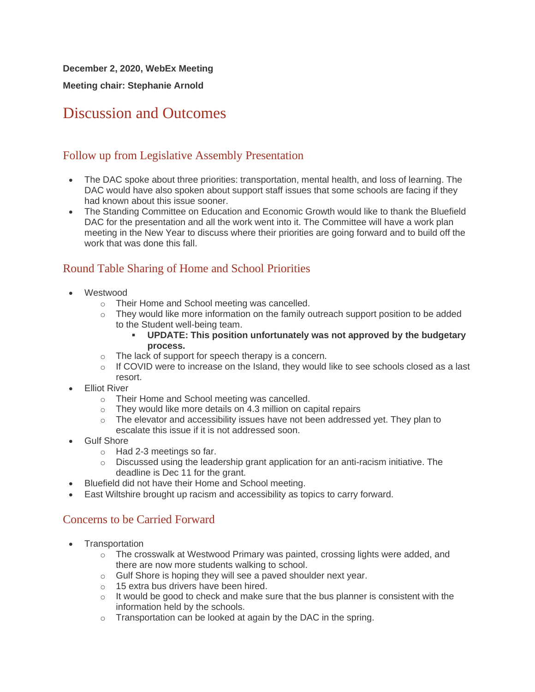**December 2, 2020, WebEx Meeting**

**Meeting chair: Stephanie Arnold**

# Discussion and Outcomes

# Follow up from Legislative Assembly Presentation

- The DAC spoke about three priorities: transportation, mental health, and loss of learning. The DAC would have also spoken about support staff issues that some schools are facing if they had known about this issue sooner.
- The Standing Committee on Education and Economic Growth would like to thank the Bluefield DAC for the presentation and all the work went into it. The Committee will have a work plan meeting in the New Year to discuss where their priorities are going forward and to build off the work that was done this fall.

# Round Table Sharing of Home and School Priorities

- Westwood
	- o Their Home and School meeting was cancelled.
	- $\circ$  They would like more information on the family outreach support position to be added to the Student well-being team.
		- **UPDATE: This position unfortunately was not approved by the budgetary process.**
	- o The lack of support for speech therapy is a concern.
	- $\circ$  If COVID were to increase on the Island, they would like to see schools closed as a last resort.
- Elliot River
	- o Their Home and School meeting was cancelled.
	- o They would like more details on 4.3 million on capital repairs
	- $\circ$  The elevator and accessibility issues have not been addressed yet. They plan to escalate this issue if it is not addressed soon.
- Gulf Shore
	- o Had 2-3 meetings so far.
	- $\circ$  Discussed using the leadership grant application for an anti-racism initiative. The deadline is Dec 11 for the grant.
- Bluefield did not have their Home and School meeting.
- East Wiltshire brought up racism and accessibility as topics to carry forward.

# Concerns to be Carried Forward

- **Transportation** 
	- $\circ$  The crosswalk at Westwood Primary was painted, crossing lights were added, and there are now more students walking to school.
	- o Gulf Shore is hoping they will see a paved shoulder next year.
	- o 15 extra bus drivers have been hired.
	- $\circ$  It would be good to check and make sure that the bus planner is consistent with the information held by the schools.
	- o Transportation can be looked at again by the DAC in the spring.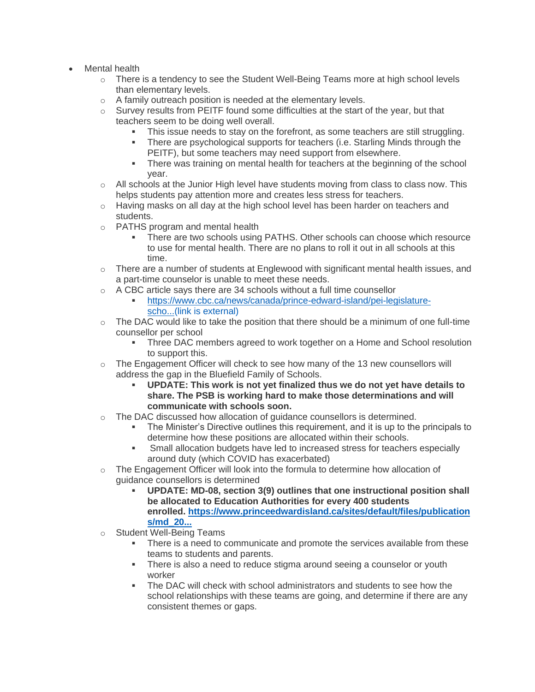- Mental health
	- $\circ$  There is a tendency to see the Student Well-Being Teams more at high school levels than elementary levels.
	- o A family outreach position is needed at the elementary levels.
	- $\circ$  Survey results from PEITF found some difficulties at the start of the year, but that teachers seem to be doing well overall.
		- This issue needs to stay on the forefront, as some teachers are still struggling.
		- There are psychological supports for teachers (i.e. Starling Minds through the PEITF), but some teachers may need support from elsewhere.
		- **•** There was training on mental health for teachers at the beginning of the school year.
	- $\circ$  All schools at the Junior High level have students moving from class to class now. This helps students pay attention more and creates less stress for teachers.
	- o Having masks on all day at the high school level has been harder on teachers and students.
	- o PATHS program and mental health
		- There are two schools using PATHS. Other schools can choose which resource to use for mental health. There are no plans to roll it out in all schools at this time.
	- $\circ$  There are a number of students at Englewood with significant mental health issues, and a part-time counselor is unable to meet these needs.
	- o A CBC article says there are 34 schools without a full time counsellor
		- [https://www.cbc.ca/news/canada/prince-edward-island/pei-legislature](https://www.cbc.ca/news/canada/prince-edward-island/pei-legislature-school-counsellors-more-needed-1.5818242)[scho...\(link is external\)](https://www.cbc.ca/news/canada/prince-edward-island/pei-legislature-school-counsellors-more-needed-1.5818242)
	- $\circ$  The DAC would like to take the position that there should be a minimum of one full-time counsellor per school
		- Three DAC members agreed to work together on a Home and School resolution to support this.
	- $\circ$  The Engagement Officer will check to see how many of the 13 new counsellors will address the gap in the Bluefield Family of Schools.
		- **UPDATE: This work is not yet finalized thus we do not yet have details to share. The PSB is working hard to make those determinations and will communicate with schools soon.**
	- $\circ$  The DAC discussed how allocation of guidance counsellors is determined.
		- **•** The Minister's Directive outlines this requirement, and it is up to the principals to determine how these positions are allocated within their schools.
		- **•** Small allocation budgets have led to increased stress for teachers especially around duty (which COVID has exacerbated)
	- $\circ$  The Engagement Officer will look into the formula to determine how allocation of guidance counsellors is determined
		- UPDATE: MD-08, section 3(9) outlines that one instructional position shall **be allocated to Education Authorities for every 400 students enrolled. [https://www.princeedwardisland.ca/sites/default/files/publication](https://www.princeedwardisland.ca/sites/default/files/publications/md_2020-08_eng.pdf) [s/md\\_20...](https://www.princeedwardisland.ca/sites/default/files/publications/md_2020-08_eng.pdf)**
	- o Student Well-Being Teams
		- There is a need to communicate and promote the services available from these teams to students and parents.
		- **•** There is also a need to reduce stigma around seeing a counselor or youth worker
		- **The DAC will check with school administrators and students to see how the** school relationships with these teams are going, and determine if there are any consistent themes or gaps.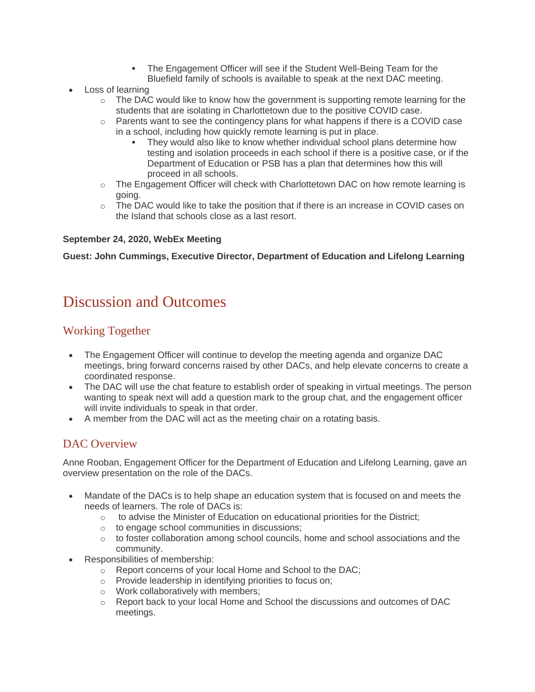- The Engagement Officer will see if the Student Well-Being Team for the Bluefield family of schools is available to speak at the next DAC meeting.
- Loss of learning
	- o The DAC would like to know how the government is supporting remote learning for the students that are isolating in Charlottetown due to the positive COVID case.
	- $\circ$  Parents want to see the contingency plans for what happens if there is a COVID case in a school, including how quickly remote learning is put in place.
		- They would also like to know whether individual school plans determine how testing and isolation proceeds in each school if there is a positive case, or if the Department of Education or PSB has a plan that determines how this will proceed in all schools.
	- $\circ$  The Engagement Officer will check with Charlottetown DAC on how remote learning is going.
	- o The DAC would like to take the position that if there is an increase in COVID cases on the Island that schools close as a last resort.

#### **September 24, 2020, WebEx Meeting**

**Guest: John Cummings, Executive Director, Department of Education and Lifelong Learning**

# Discussion and Outcomes

# Working Together

- The Engagement Officer will continue to develop the meeting agenda and organize DAC meetings, bring forward concerns raised by other DACs, and help elevate concerns to create a coordinated response.
- The DAC will use the chat feature to establish order of speaking in virtual meetings. The person wanting to speak next will add a question mark to the group chat, and the engagement officer will invite individuals to speak in that order.
- A member from the DAC will act as the meeting chair on a rotating basis.

### DAC Overview

Anne Rooban, Engagement Officer for the Department of Education and Lifelong Learning, gave an overview presentation on the role of the DACs.

- Mandate of the DACs is to help shape an education system that is focused on and meets the needs of learners. The role of DACs is:
	- $\circ$  to advise the Minister of Education on educational priorities for the District;
	- o to engage school communities in discussions;
	- o to foster collaboration among school councils, home and school associations and the community.
- Responsibilities of membership:
	- o Report concerns of your local Home and School to the DAC;
	- o Provide leadership in identifying priorities to focus on;
	- o Work collaboratively with members;
	- o Report back to your local Home and School the discussions and outcomes of DAC meetings.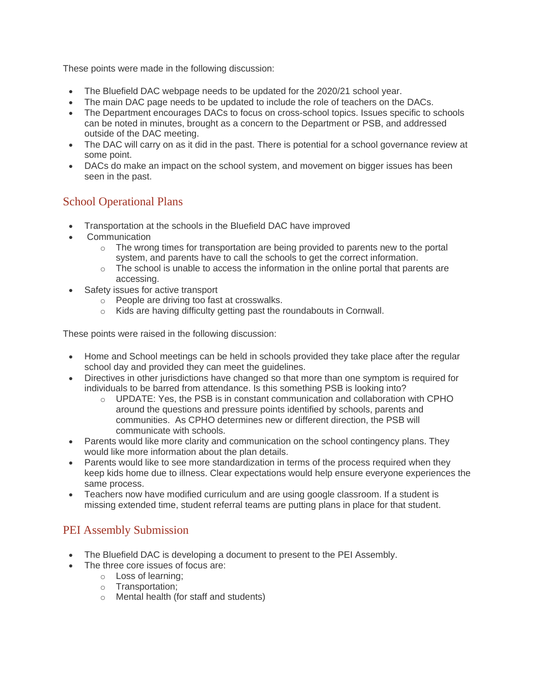- The Bluefield DAC webpage needs to be updated for the 2020/21 school year.
- The main DAC page needs to be updated to include the role of teachers on the DACs.
- The Department encourages DACs to focus on cross-school topics. Issues specific to schools can be noted in minutes, brought as a concern to the Department or PSB, and addressed outside of the DAC meeting.
- The DAC will carry on as it did in the past. There is potential for a school governance review at some point.
- DACs do make an impact on the school system, and movement on bigger issues has been seen in the past.

# School Operational Plans

- Transportation at the schools in the Bluefield DAC have improved
- **Communication** 
	- $\circ$  The wrong times for transportation are being provided to parents new to the portal system, and parents have to call the schools to get the correct information.
	- $\circ$  The school is unable to access the information in the online portal that parents are accessing.
- Safety issues for active transport
	- o People are driving too fast at crosswalks.
	- o Kids are having difficulty getting past the roundabouts in Cornwall.

These points were raised in the following discussion:

- Home and School meetings can be held in schools provided they take place after the regular school day and provided they can meet the guidelines.
- Directives in other jurisdictions have changed so that more than one symptom is required for individuals to be barred from attendance. Is this something PSB is looking into?
	- $\circ$  UPDATE: Yes, the PSB is in constant communication and collaboration with CPHO around the questions and pressure points identified by schools, parents and communities. As CPHO determines new or different direction, the PSB will communicate with schools.
- Parents would like more clarity and communication on the school contingency plans. They would like more information about the plan details.
- Parents would like to see more standardization in terms of the process required when they keep kids home due to illness. Clear expectations would help ensure everyone experiences the same process.
- Teachers now have modified curriculum and are using google classroom. If a student is missing extended time, student referral teams are putting plans in place for that student.

# PEI Assembly Submission

- The Bluefield DAC is developing a document to present to the PEI Assembly.
	- The three core issues of focus are:
		- o Loss of learning;
		- o Transportation;
		- o Mental health (for staff and students)